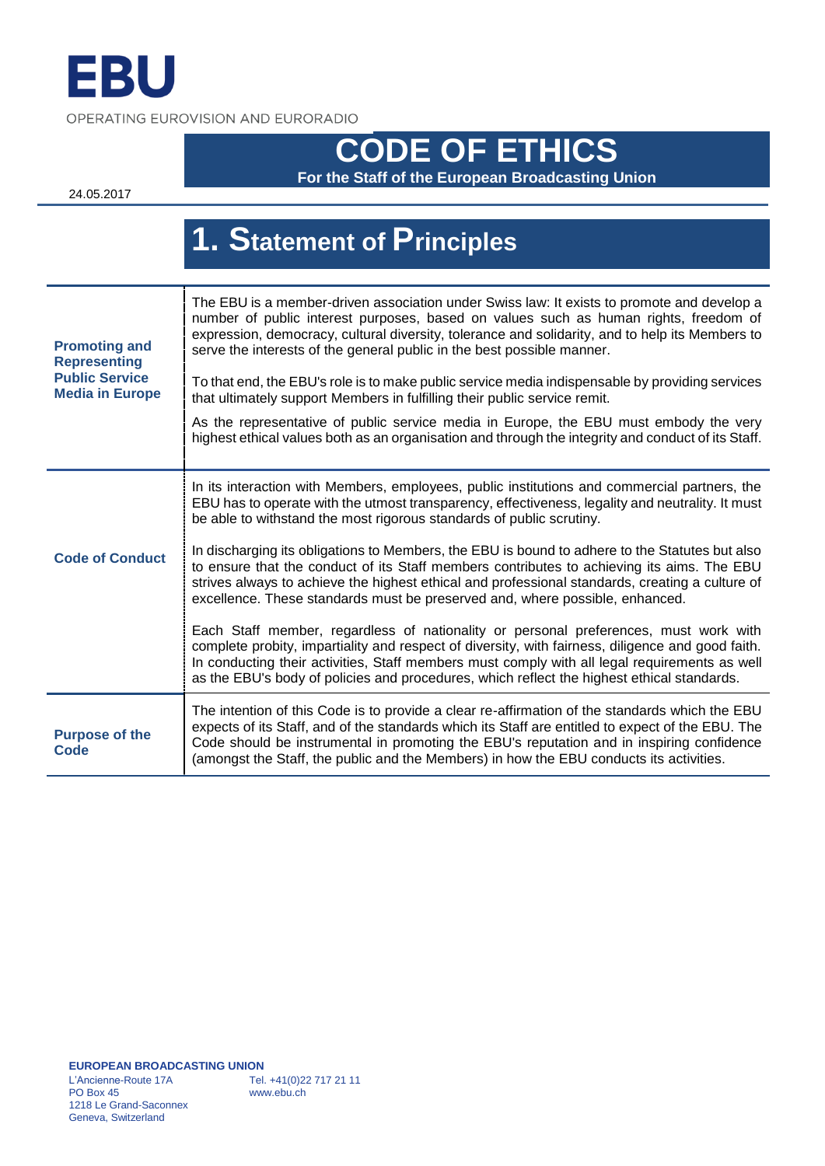

OPERATING EUROVISION AND EURORADIO

# **CODE OF ETHICS**

**For the Staff of the European Broadcasting Union**

24.05.2017

|                                                                                                | 1. Statement of Principles                                                                                                                                                                                                                                                                                                                                                                  |
|------------------------------------------------------------------------------------------------|---------------------------------------------------------------------------------------------------------------------------------------------------------------------------------------------------------------------------------------------------------------------------------------------------------------------------------------------------------------------------------------------|
|                                                                                                |                                                                                                                                                                                                                                                                                                                                                                                             |
| <b>Promoting and</b><br><b>Representing</b><br><b>Public Service</b><br><b>Media in Europe</b> | The EBU is a member-driven association under Swiss law: It exists to promote and develop a<br>number of public interest purposes, based on values such as human rights, freedom of<br>expression, democracy, cultural diversity, tolerance and solidarity, and to help its Members to<br>serve the interests of the general public in the best possible manner.                             |
|                                                                                                | To that end, the EBU's role is to make public service media indispensable by providing services<br>that ultimately support Members in fulfilling their public service remit.                                                                                                                                                                                                                |
|                                                                                                | As the representative of public service media in Europe, the EBU must embody the very<br>highest ethical values both as an organisation and through the integrity and conduct of its Staff.                                                                                                                                                                                                 |
| <b>Code of Conduct</b>                                                                         | In its interaction with Members, employees, public institutions and commercial partners, the<br>EBU has to operate with the utmost transparency, effectiveness, legality and neutrality. It must<br>be able to withstand the most rigorous standards of public scrutiny.                                                                                                                    |
|                                                                                                | In discharging its obligations to Members, the EBU is bound to adhere to the Statutes but also<br>to ensure that the conduct of its Staff members contributes to achieving its aims. The EBU<br>strives always to achieve the highest ethical and professional standards, creating a culture of<br>excellence. These standards must be preserved and, where possible, enhanced.             |
|                                                                                                | Each Staff member, regardless of nationality or personal preferences, must work with<br>complete probity, impartiality and respect of diversity, with fairness, diligence and good faith.<br>In conducting their activities, Staff members must comply with all legal requirements as well<br>as the EBU's body of policies and procedures, which reflect the highest ethical standards.    |
| <b>Purpose of the</b><br><b>Code</b>                                                           | The intention of this Code is to provide a clear re-affirmation of the standards which the EBU<br>expects of its Staff, and of the standards which its Staff are entitled to expect of the EBU. The<br>Code should be instrumental in promoting the EBU's reputation and in inspiring confidence<br>(amongst the Staff, the public and the Members) in how the EBU conducts its activities. |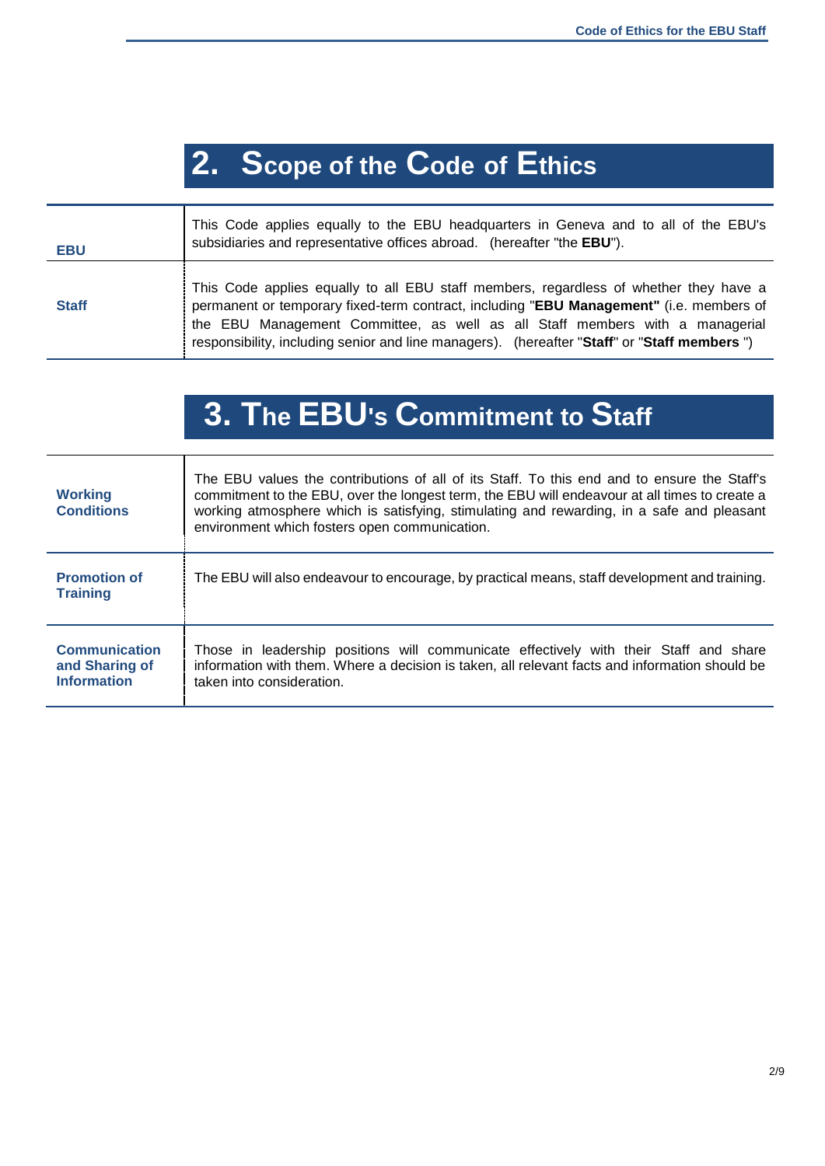## **2. Scope of the Code of Ethics**

| <b>EBU</b>   | This Code applies equally to the EBU headquarters in Geneva and to all of the EBU's<br>subsidiaries and representative offices abroad. (hereafter "the EBU").                                                                                                                                                                                                    |
|--------------|------------------------------------------------------------------------------------------------------------------------------------------------------------------------------------------------------------------------------------------------------------------------------------------------------------------------------------------------------------------|
| <b>Staff</b> | This Code applies equally to all EBU staff members, regardless of whether they have a<br>permanent or temporary fixed-term contract, including "EBU Management" (i.e. members of<br>the EBU Management Committee, as well as all Staff members with a managerial<br>responsibility, including senior and line managers). (hereafter "Staff" or "Staff members ") |

## **3. The EBU's Commitment to Staff**

| <b>Working</b><br><b>Conditions</b>                          | The EBU values the contributions of all of its Staff. To this end and to ensure the Staff's<br>commitment to the EBU, over the longest term, the EBU will endeavour at all times to create a<br>working atmosphere which is satisfying, stimulating and rewarding, in a safe and pleasant<br>environment which fosters open communication. |
|--------------------------------------------------------------|--------------------------------------------------------------------------------------------------------------------------------------------------------------------------------------------------------------------------------------------------------------------------------------------------------------------------------------------|
| <b>Promotion of</b><br><b>Training</b>                       | The EBU will also endeavour to encourage, by practical means, staff development and training.                                                                                                                                                                                                                                              |
| <b>Communication</b><br>and Sharing of<br><b>Information</b> | Those in leadership positions will communicate effectively with their Staff and share<br>information with them. Where a decision is taken, all relevant facts and information should be<br>taken into consideration.                                                                                                                       |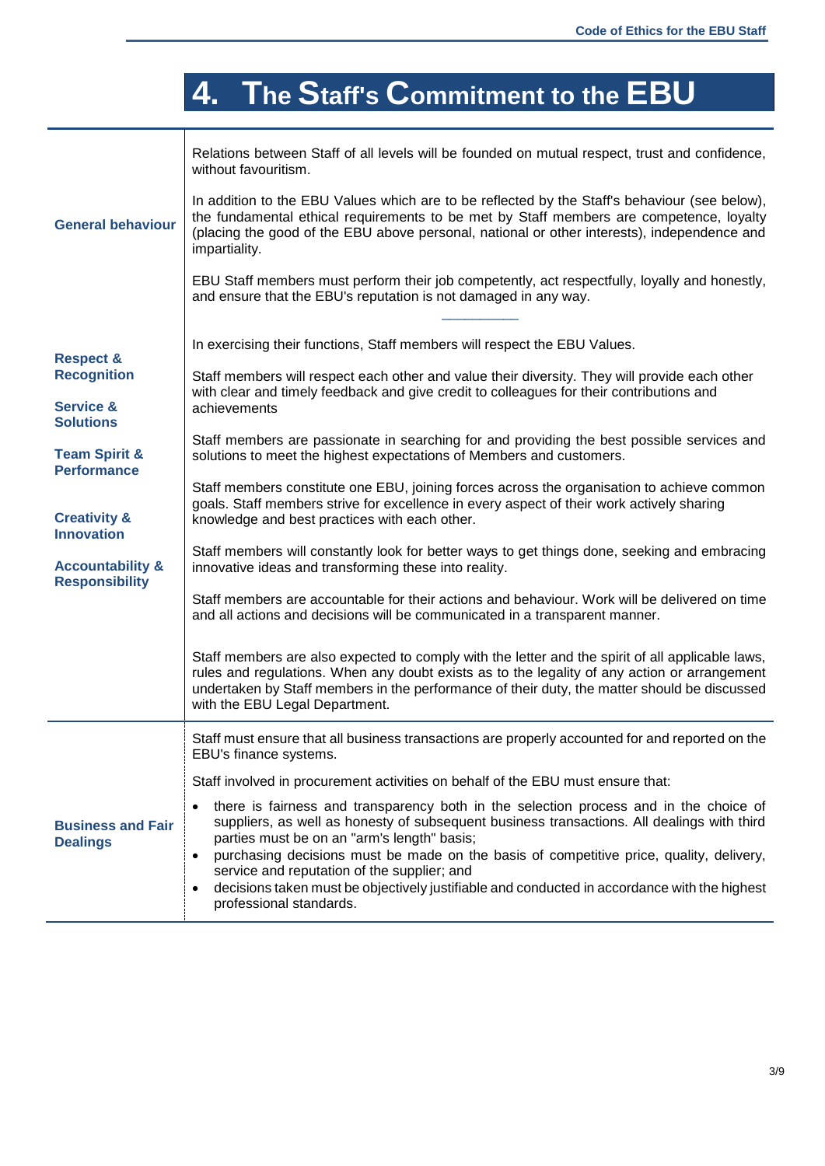# **4. The Staff's Commitment to the EBU**

|                                                      | Relations between Staff of all levels will be founded on mutual respect, trust and confidence,<br>without favouritism.<br>In addition to the EBU Values which are to be reflected by the Staff's behaviour (see below),                                                                                                            |
|------------------------------------------------------|------------------------------------------------------------------------------------------------------------------------------------------------------------------------------------------------------------------------------------------------------------------------------------------------------------------------------------|
| <b>General behaviour</b>                             | the fundamental ethical requirements to be met by Staff members are competence, loyalty<br>(placing the good of the EBU above personal, national or other interests), independence and<br>impartiality.                                                                                                                            |
|                                                      | EBU Staff members must perform their job competently, act respectfully, loyally and honestly,<br>and ensure that the EBU's reputation is not damaged in any way.                                                                                                                                                                   |
| <b>Respect &amp;</b>                                 | In exercising their functions, Staff members will respect the EBU Values.                                                                                                                                                                                                                                                          |
| <b>Recognition</b>                                   | Staff members will respect each other and value their diversity. They will provide each other<br>with clear and timely feedback and give credit to colleagues for their contributions and                                                                                                                                          |
| <b>Service &amp;</b><br><b>Solutions</b>             | achievements                                                                                                                                                                                                                                                                                                                       |
| <b>Team Spirit &amp;</b><br><b>Performance</b>       | Staff members are passionate in searching for and providing the best possible services and<br>solutions to meet the highest expectations of Members and customers.                                                                                                                                                                 |
| <b>Creativity &amp;</b><br><b>Innovation</b>         | Staff members constitute one EBU, joining forces across the organisation to achieve common<br>goals. Staff members strive for excellence in every aspect of their work actively sharing<br>knowledge and best practices with each other.                                                                                           |
| <b>Accountability &amp;</b><br><b>Responsibility</b> | Staff members will constantly look for better ways to get things done, seeking and embracing<br>innovative ideas and transforming these into reality.                                                                                                                                                                              |
|                                                      | Staff members are accountable for their actions and behaviour. Work will be delivered on time<br>and all actions and decisions will be communicated in a transparent manner.                                                                                                                                                       |
|                                                      | Staff members are also expected to comply with the letter and the spirit of all applicable laws,<br>rules and regulations. When any doubt exists as to the legality of any action or arrangement<br>undertaken by Staff members in the performance of their duty, the matter should be discussed<br>with the EBU Legal Department. |
|                                                      | Staff must ensure that all business transactions are properly accounted for and reported on the<br>EBU's finance systems.                                                                                                                                                                                                          |
|                                                      | Staff involved in procurement activities on behalf of the EBU must ensure that:                                                                                                                                                                                                                                                    |
| <b>Business and Fair</b><br><b>Dealings</b>          | there is fairness and transparency both in the selection process and in the choice of<br>suppliers, as well as honesty of subsequent business transactions. All dealings with third<br>parties must be on an "arm's length" basis;                                                                                                 |
|                                                      | purchasing decisions must be made on the basis of competitive price, quality, delivery,<br>service and reputation of the supplier; and                                                                                                                                                                                             |
|                                                      | decisions taken must be objectively justifiable and conducted in accordance with the highest<br>professional standards.                                                                                                                                                                                                            |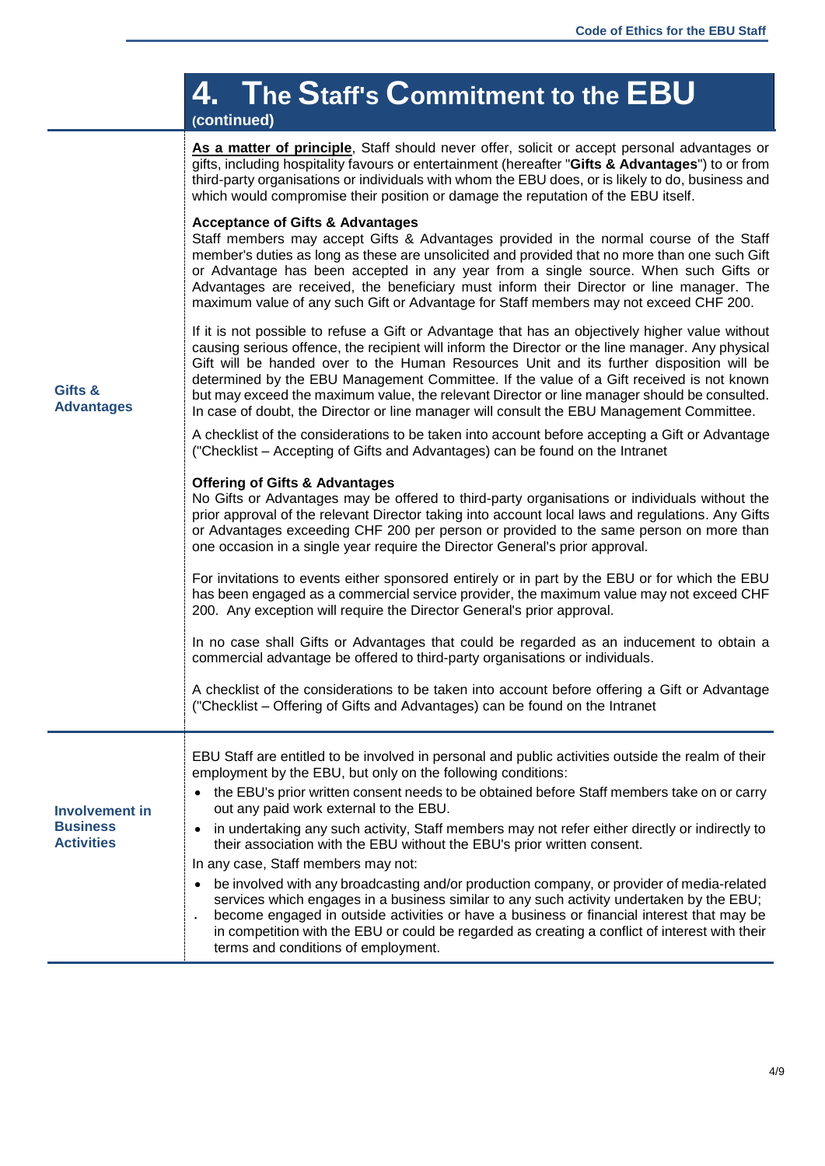|                                                               | 4. The Staff's Commitment to the EBU<br>(continued)                                                                                                                                                                                                                                                                                                                                                                                                                                                                                                                                        |
|---------------------------------------------------------------|--------------------------------------------------------------------------------------------------------------------------------------------------------------------------------------------------------------------------------------------------------------------------------------------------------------------------------------------------------------------------------------------------------------------------------------------------------------------------------------------------------------------------------------------------------------------------------------------|
| Gifts &<br><b>Advantages</b>                                  | As a matter of principle, Staff should never offer, solicit or accept personal advantages or<br>gifts, including hospitality favours or entertainment (hereafter "Gifts & Advantages") to or from<br>third-party organisations or individuals with whom the EBU does, or is likely to do, business and<br>which would compromise their position or damage the reputation of the EBU itself.                                                                                                                                                                                                |
|                                                               | <b>Acceptance of Gifts &amp; Advantages</b><br>Staff members may accept Gifts & Advantages provided in the normal course of the Staff<br>member's duties as long as these are unsolicited and provided that no more than one such Gift<br>or Advantage has been accepted in any year from a single source. When such Gifts or<br>Advantages are received, the beneficiary must inform their Director or line manager. The<br>maximum value of any such Gift or Advantage for Staff members may not exceed CHF 200.                                                                         |
|                                                               | If it is not possible to refuse a Gift or Advantage that has an objectively higher value without<br>causing serious offence, the recipient will inform the Director or the line manager. Any physical<br>Gift will be handed over to the Human Resources Unit and its further disposition will be<br>determined by the EBU Management Committee. If the value of a Gift received is not known<br>but may exceed the maximum value, the relevant Director or line manager should be consulted.<br>In case of doubt, the Director or line manager will consult the EBU Management Committee. |
|                                                               | A checklist of the considerations to be taken into account before accepting a Gift or Advantage<br>("Checklist – Accepting of Gifts and Advantages) can be found on the Intranet                                                                                                                                                                                                                                                                                                                                                                                                           |
|                                                               | <b>Offering of Gifts &amp; Advantages</b><br>No Gifts or Advantages may be offered to third-party organisations or individuals without the<br>prior approval of the relevant Director taking into account local laws and regulations. Any Gifts<br>or Advantages exceeding CHF 200 per person or provided to the same person on more than<br>one occasion in a single year require the Director General's prior approval.<br>For invitations to events either sponsored entirely or in part by the EBU or for which the EBU                                                                |
|                                                               | has been engaged as a commercial service provider, the maximum value may not exceed CHF<br>200. Any exception will require the Director General's prior approval.                                                                                                                                                                                                                                                                                                                                                                                                                          |
|                                                               | In no case shall Gifts or Advantages that could be regarded as an inducement to obtain a<br>commercial advantage be offered to third-party organisations or individuals.                                                                                                                                                                                                                                                                                                                                                                                                                   |
|                                                               | A checklist of the considerations to be taken into account before offering a Gift or Advantage<br>("Checklist – Offering of Gifts and Advantages) can be found on the Intranet                                                                                                                                                                                                                                                                                                                                                                                                             |
| <b>Involvement in</b><br><b>Business</b><br><b>Activities</b> | EBU Staff are entitled to be involved in personal and public activities outside the realm of their<br>employment by the EBU, but only on the following conditions:                                                                                                                                                                                                                                                                                                                                                                                                                         |
|                                                               | the EBU's prior written consent needs to be obtained before Staff members take on or carry<br>out any paid work external to the EBU.                                                                                                                                                                                                                                                                                                                                                                                                                                                       |
|                                                               | in undertaking any such activity, Staff members may not refer either directly or indirectly to<br>$\bullet$<br>their association with the EBU without the EBU's prior written consent.                                                                                                                                                                                                                                                                                                                                                                                                     |
|                                                               | In any case, Staff members may not:                                                                                                                                                                                                                                                                                                                                                                                                                                                                                                                                                        |
|                                                               | be involved with any broadcasting and/or production company, or provider of media-related<br>services which engages in a business similar to any such activity undertaken by the EBU;<br>become engaged in outside activities or have a business or financial interest that may be<br>in competition with the EBU or could be regarded as creating a conflict of interest with their<br>terms and conditions of employment.                                                                                                                                                                |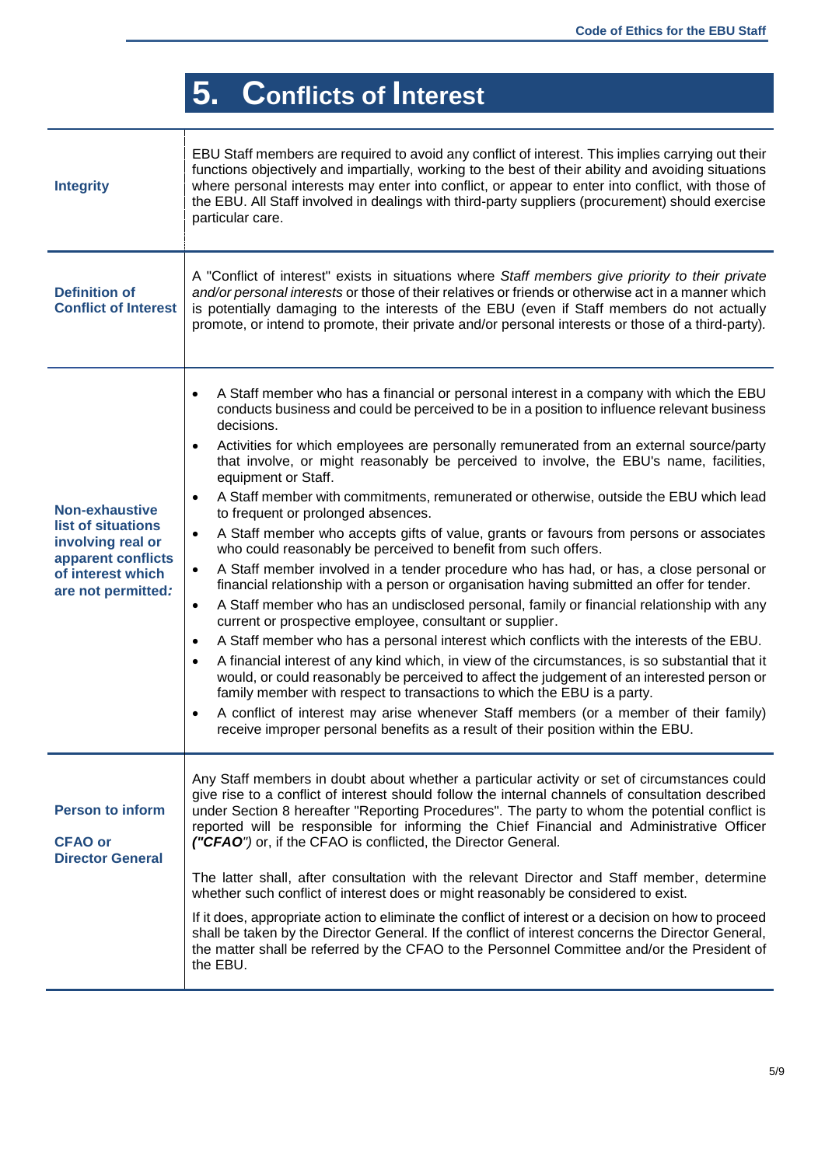# **5. Conflicts of Interest**

Ŧ

| <b>Integrity</b>                                                                                                           | EBU Staff members are required to avoid any conflict of interest. This implies carrying out their<br>functions objectively and impartially, working to the best of their ability and avoiding situations<br>where personal interests may enter into conflict, or appear to enter into conflict, with those of<br>the EBU. All Staff involved in dealings with third-party suppliers (procurement) should exercise<br>particular care.                                                                                                                                                                                                                                                                                                                                                                                                                                                                                                                                                                                                                                                                                                                                                                                                                                                                                                                                                                                                                                                                                                                                                                                                                                                                                                    |
|----------------------------------------------------------------------------------------------------------------------------|------------------------------------------------------------------------------------------------------------------------------------------------------------------------------------------------------------------------------------------------------------------------------------------------------------------------------------------------------------------------------------------------------------------------------------------------------------------------------------------------------------------------------------------------------------------------------------------------------------------------------------------------------------------------------------------------------------------------------------------------------------------------------------------------------------------------------------------------------------------------------------------------------------------------------------------------------------------------------------------------------------------------------------------------------------------------------------------------------------------------------------------------------------------------------------------------------------------------------------------------------------------------------------------------------------------------------------------------------------------------------------------------------------------------------------------------------------------------------------------------------------------------------------------------------------------------------------------------------------------------------------------------------------------------------------------------------------------------------------------|
| <b>Definition of</b><br><b>Conflict of Interest</b>                                                                        | A "Conflict of interest" exists in situations where Staff members give priority to their private<br>and/or personal interests or those of their relatives or friends or otherwise act in a manner which<br>is potentially damaging to the interests of the EBU (even if Staff members do not actually<br>promote, or intend to promote, their private and/or personal interests or those of a third-party).                                                                                                                                                                                                                                                                                                                                                                                                                                                                                                                                                                                                                                                                                                                                                                                                                                                                                                                                                                                                                                                                                                                                                                                                                                                                                                                              |
| Non-exhaustive<br>list of situations<br>involving real or<br>apparent conflicts<br>of interest which<br>are not permitted: | A Staff member who has a financial or personal interest in a company with which the EBU<br>$\bullet$<br>conducts business and could be perceived to be in a position to influence relevant business<br>decisions.<br>Activities for which employees are personally remunerated from an external source/party<br>$\bullet$<br>that involve, or might reasonably be perceived to involve, the EBU's name, facilities,<br>equipment or Staff.<br>A Staff member with commitments, remunerated or otherwise, outside the EBU which lead<br>$\bullet$<br>to frequent or prolonged absences.<br>A Staff member who accepts gifts of value, grants or favours from persons or associates<br>$\bullet$<br>who could reasonably be perceived to benefit from such offers.<br>A Staff member involved in a tender procedure who has had, or has, a close personal or<br>$\bullet$<br>financial relationship with a person or organisation having submitted an offer for tender.<br>A Staff member who has an undisclosed personal, family or financial relationship with any<br>$\bullet$<br>current or prospective employee, consultant or supplier.<br>A Staff member who has a personal interest which conflicts with the interests of the EBU.<br>$\bullet$<br>A financial interest of any kind which, in view of the circumstances, is so substantial that it<br>$\bullet$<br>would, or could reasonably be perceived to affect the judgement of an interested person or<br>family member with respect to transactions to which the EBU is a party.<br>A conflict of interest may arise whenever Staff members (or a member of their family)<br>$\bullet$<br>receive improper personal benefits as a result of their position within the EBU. |
| <b>Person to inform</b><br><b>CFAO or</b><br><b>Director General</b>                                                       | Any Staff members in doubt about whether a particular activity or set of circumstances could<br>give rise to a conflict of interest should follow the internal channels of consultation described<br>under Section 8 hereafter "Reporting Procedures". The party to whom the potential conflict is<br>reported will be responsible for informing the Chief Financial and Administrative Officer<br>("CFAO") or, if the CFAO is conflicted, the Director General.<br>The latter shall, after consultation with the relevant Director and Staff member, determine<br>whether such conflict of interest does or might reasonably be considered to exist.<br>If it does, appropriate action to eliminate the conflict of interest or a decision on how to proceed<br>shall be taken by the Director General. If the conflict of interest concerns the Director General,<br>the matter shall be referred by the CFAO to the Personnel Committee and/or the President of<br>the EBU.                                                                                                                                                                                                                                                                                                                                                                                                                                                                                                                                                                                                                                                                                                                                                           |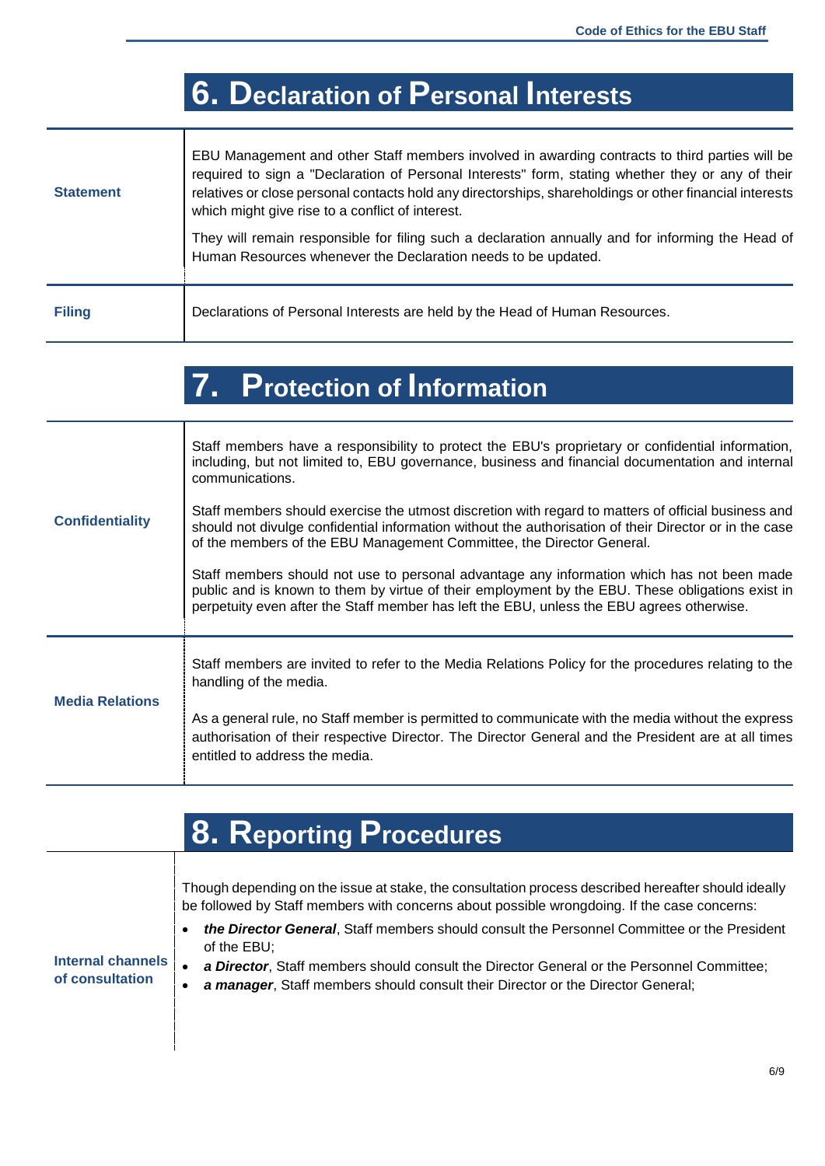## **6. Declaration of Personal Interests**

| <b>Statement</b> | EBU Management and other Staff members involved in awarding contracts to third parties will be<br>required to sign a "Declaration of Personal Interests" form, stating whether they or any of their<br>relatives or close personal contacts hold any directorships, shareholdings or other financial interests<br>which might give rise to a conflict of interest. |
|------------------|--------------------------------------------------------------------------------------------------------------------------------------------------------------------------------------------------------------------------------------------------------------------------------------------------------------------------------------------------------------------|
|                  | They will remain responsible for filing such a declaration annually and for informing the Head of<br>Human Resources whenever the Declaration needs to be updated.                                                                                                                                                                                                 |
| <b>Filing</b>    | Declarations of Personal Interests are held by the Head of Human Resources.                                                                                                                                                                                                                                                                                        |

## **7. Protection of Information**

| <b>Confidentiality</b> | Staff members have a responsibility to protect the EBU's proprietary or confidential information,<br>including, but not limited to, EBU governance, business and financial documentation and internal<br>communications.                                                                    |
|------------------------|---------------------------------------------------------------------------------------------------------------------------------------------------------------------------------------------------------------------------------------------------------------------------------------------|
|                        | Staff members should exercise the utmost discretion with regard to matters of official business and<br>should not divulge confidential information without the authorisation of their Director or in the case<br>of the members of the EBU Management Committee, the Director General.      |
|                        | Staff members should not use to personal advantage any information which has not been made<br>public and is known to them by virtue of their employment by the EBU. These obligations exist in<br>perpetuity even after the Staff member has left the EBU, unless the EBU agrees otherwise. |
| <b>Media Relations</b> | Staff members are invited to refer to the Media Relations Policy for the procedures relating to the<br>handling of the media.                                                                                                                                                               |
|                        | As a general rule, no Staff member is permitted to communicate with the media without the express<br>authorisation of their respective Director. The Director General and the President are at all times<br>entitled to address the media.                                                  |

|                                      | <b>8. Reporting Procedures</b>                                                                                                                                                                                                                                                                                                                                                                                                                                                                   |
|--------------------------------------|--------------------------------------------------------------------------------------------------------------------------------------------------------------------------------------------------------------------------------------------------------------------------------------------------------------------------------------------------------------------------------------------------------------------------------------------------------------------------------------------------|
| Internal channels<br>of consultation | Though depending on the issue at stake, the consultation process described hereafter should ideally<br>be followed by Staff members with concerns about possible wrongdoing. If the case concerns:<br>the Director General, Staff members should consult the Personnel Committee or the President<br>of the EBU:<br>a Director, Staff members should consult the Director General or the Personnel Committee;<br>a manager, Staff members should consult their Director or the Director General; |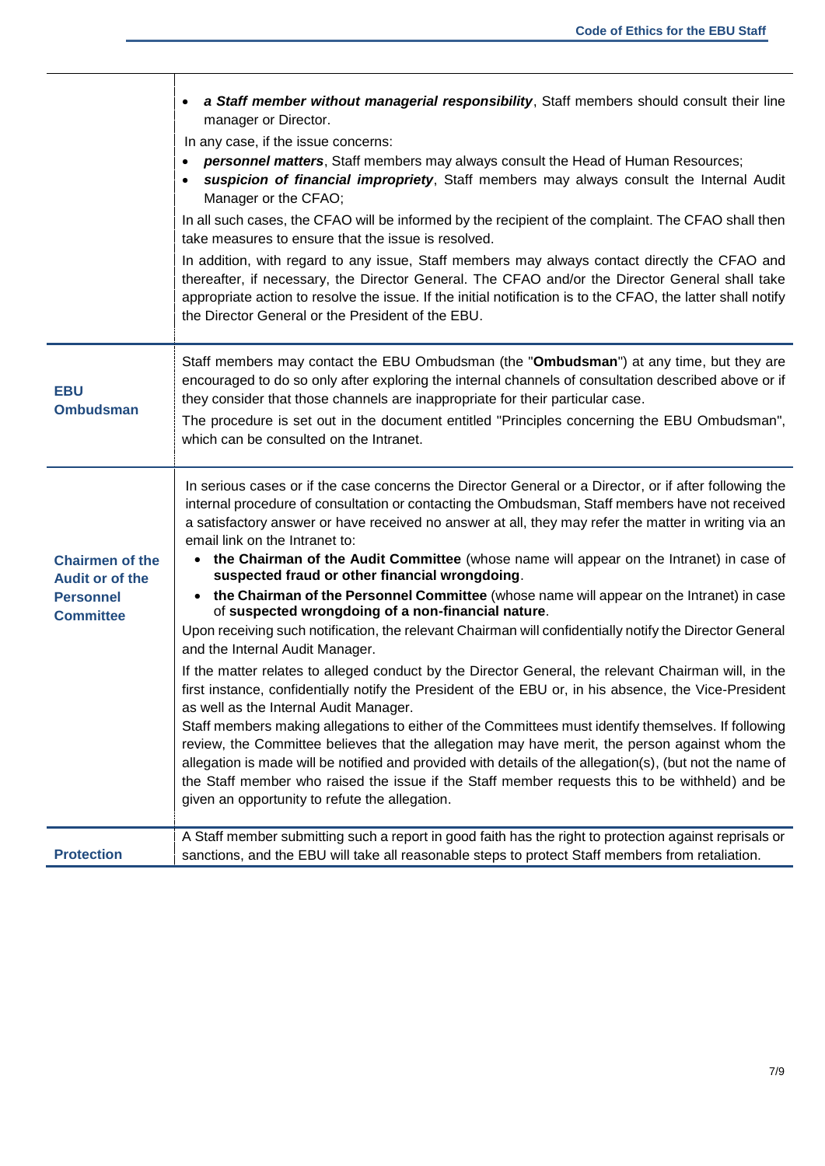|                                                                                   | a Staff member without managerial responsibility, Staff members should consult their line<br>manager or Director.<br>In any case, if the issue concerns:<br>personnel matters, Staff members may always consult the Head of Human Resources;<br>suspicion of financial impropriety, Staff members may always consult the Internal Audit<br>Manager or the CFAO;<br>In all such cases, the CFAO will be informed by the recipient of the complaint. The CFAO shall then<br>take measures to ensure that the issue is resolved.<br>In addition, with regard to any issue, Staff members may always contact directly the CFAO and<br>thereafter, if necessary, the Director General. The CFAO and/or the Director General shall take<br>appropriate action to resolve the issue. If the initial notification is to the CFAO, the latter shall notify<br>the Director General or the President of the EBU.                                                                                                                                                                                                                                                                                                                                                                                                                                                                                                                                                                                                                                 |
|-----------------------------------------------------------------------------------|----------------------------------------------------------------------------------------------------------------------------------------------------------------------------------------------------------------------------------------------------------------------------------------------------------------------------------------------------------------------------------------------------------------------------------------------------------------------------------------------------------------------------------------------------------------------------------------------------------------------------------------------------------------------------------------------------------------------------------------------------------------------------------------------------------------------------------------------------------------------------------------------------------------------------------------------------------------------------------------------------------------------------------------------------------------------------------------------------------------------------------------------------------------------------------------------------------------------------------------------------------------------------------------------------------------------------------------------------------------------------------------------------------------------------------------------------------------------------------------------------------------------------------------|
| <b>EBU</b><br><b>Ombudsman</b>                                                    | Staff members may contact the EBU Ombudsman (the "Ombudsman") at any time, but they are<br>encouraged to do so only after exploring the internal channels of consultation described above or if<br>they consider that those channels are inappropriate for their particular case.<br>The procedure is set out in the document entitled "Principles concerning the EBU Ombudsman",<br>which can be consulted on the Intranet.                                                                                                                                                                                                                                                                                                                                                                                                                                                                                                                                                                                                                                                                                                                                                                                                                                                                                                                                                                                                                                                                                                           |
| <b>Chairmen of the</b><br>Audit or of the<br><b>Personnel</b><br><b>Committee</b> | In serious cases or if the case concerns the Director General or a Director, or if after following the<br>internal procedure of consultation or contacting the Ombudsman, Staff members have not received<br>a satisfactory answer or have received no answer at all, they may refer the matter in writing via an<br>email link on the Intranet to:<br>the Chairman of the Audit Committee (whose name will appear on the Intranet) in case of<br>suspected fraud or other financial wrongdoing.<br>• the Chairman of the Personnel Committee (whose name will appear on the Intranet) in case<br>of suspected wrongdoing of a non-financial nature.<br>Upon receiving such notification, the relevant Chairman will confidentially notify the Director General<br>and the Internal Audit Manager.<br>If the matter relates to alleged conduct by the Director General, the relevant Chairman will, in the<br>first instance, confidentially notify the President of the EBU or, in his absence, the Vice-President<br>as well as the Internal Audit Manager.<br>Staff members making allegations to either of the Committees must identify themselves. If following<br>review, the Committee believes that the allegation may have merit, the person against whom the<br>allegation is made will be notified and provided with details of the allegation(s), (but not the name of<br>the Staff member who raised the issue if the Staff member requests this to be withheld) and be<br>given an opportunity to refute the allegation. |
| <b>Protection</b>                                                                 | A Staff member submitting such a report in good faith has the right to protection against reprisals or<br>sanctions, and the EBU will take all reasonable steps to protect Staff members from retaliation.                                                                                                                                                                                                                                                                                                                                                                                                                                                                                                                                                                                                                                                                                                                                                                                                                                                                                                                                                                                                                                                                                                                                                                                                                                                                                                                             |

٦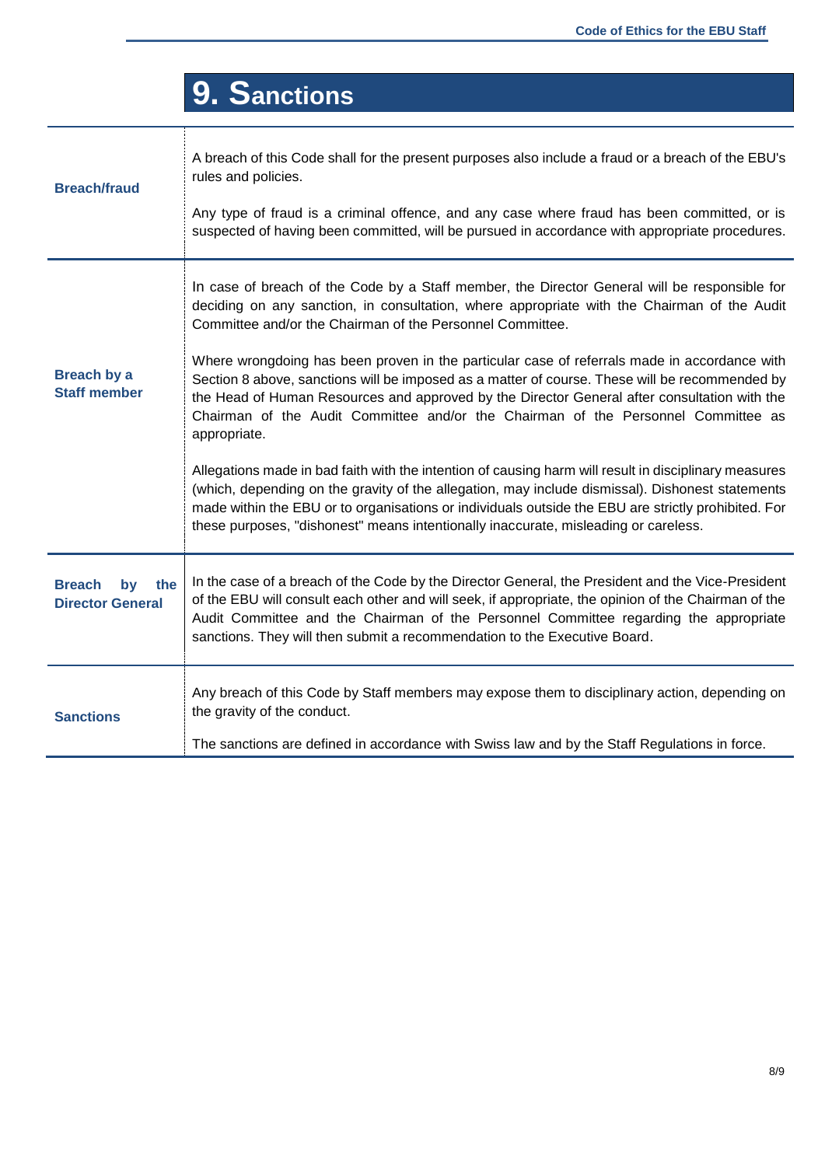|                                                       | 9. Sanctions                                                                                                                                                                                                                                                                                                                                                                                            |
|-------------------------------------------------------|---------------------------------------------------------------------------------------------------------------------------------------------------------------------------------------------------------------------------------------------------------------------------------------------------------------------------------------------------------------------------------------------------------|
| <b>Breach/fraud</b>                                   | A breach of this Code shall for the present purposes also include a fraud or a breach of the EBU's<br>rules and policies.<br>Any type of fraud is a criminal offence, and any case where fraud has been committed, or is                                                                                                                                                                                |
|                                                       | suspected of having been committed, will be pursued in accordance with appropriate procedures.                                                                                                                                                                                                                                                                                                          |
| <b>Breach by a</b><br><b>Staff member</b>             | In case of breach of the Code by a Staff member, the Director General will be responsible for<br>deciding on any sanction, in consultation, where appropriate with the Chairman of the Audit<br>Committee and/or the Chairman of the Personnel Committee.                                                                                                                                               |
|                                                       | Where wrongdoing has been proven in the particular case of referrals made in accordance with<br>Section 8 above, sanctions will be imposed as a matter of course. These will be recommended by<br>the Head of Human Resources and approved by the Director General after consultation with the<br>Chairman of the Audit Committee and/or the Chairman of the Personnel Committee as<br>appropriate.     |
|                                                       | Allegations made in bad faith with the intention of causing harm will result in disciplinary measures<br>(which, depending on the gravity of the allegation, may include dismissal). Dishonest statements<br>made within the EBU or to organisations or individuals outside the EBU are strictly prohibited. For<br>these purposes, "dishonest" means intentionally inaccurate, misleading or careless. |
| <b>Breach</b><br>the<br>by<br><b>Director General</b> | In the case of a breach of the Code by the Director General, the President and the Vice-President<br>of the EBU will consult each other and will seek, if appropriate, the opinion of the Chairman of the<br>Audit Committee and the Chairman of the Personnel Committee regarding the appropriate<br>sanctions. They will then submit a recommendation to the Executive Board.                         |
| <b>Sanctions</b>                                      | Any breach of this Code by Staff members may expose them to disciplinary action, depending on<br>the gravity of the conduct.<br>The sanctions are defined in accordance with Swiss law and by the Staff Regulations in force.                                                                                                                                                                           |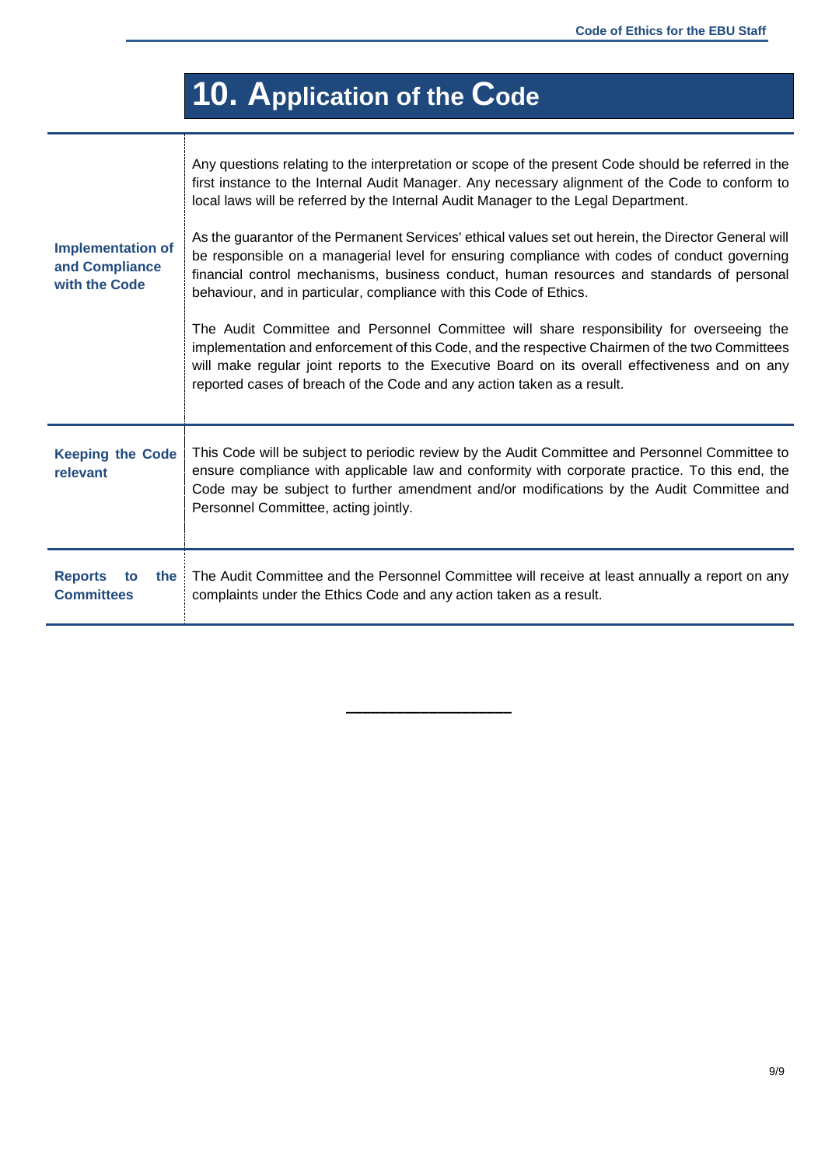# **10. Application of the Code**

| <b>Implementation of</b><br>and Compliance<br>with the Code | Any questions relating to the interpretation or scope of the present Code should be referred in the<br>first instance to the Internal Audit Manager. Any necessary alignment of the Code to conform to<br>local laws will be referred by the Internal Audit Manager to the Legal Department.<br>As the guarantor of the Permanent Services' ethical values set out herein, the Director General will<br>be responsible on a managerial level for ensuring compliance with codes of conduct governing<br>financial control mechanisms, business conduct, human resources and standards of personal<br>behaviour, and in particular, compliance with this Code of Ethics.<br>The Audit Committee and Personnel Committee will share responsibility for overseeing the<br>implementation and enforcement of this Code, and the respective Chairmen of the two Committees<br>will make regular joint reports to the Executive Board on its overall effectiveness and on any<br>reported cases of breach of the Code and any action taken as a result. |
|-------------------------------------------------------------|---------------------------------------------------------------------------------------------------------------------------------------------------------------------------------------------------------------------------------------------------------------------------------------------------------------------------------------------------------------------------------------------------------------------------------------------------------------------------------------------------------------------------------------------------------------------------------------------------------------------------------------------------------------------------------------------------------------------------------------------------------------------------------------------------------------------------------------------------------------------------------------------------------------------------------------------------------------------------------------------------------------------------------------------------|
| <b>Keeping the Code</b><br>relevant                         | This Code will be subject to periodic review by the Audit Committee and Personnel Committee to<br>ensure compliance with applicable law and conformity with corporate practice. To this end, the<br>Code may be subject to further amendment and/or modifications by the Audit Committee and<br>Personnel Committee, acting jointly.                                                                                                                                                                                                                                                                                                                                                                                                                                                                                                                                                                                                                                                                                                              |
| <b>Reports</b><br>the<br>to<br><b>Committees</b>            | The Audit Committee and the Personnel Committee will receive at least annually a report on any<br>complaints under the Ethics Code and any action taken as a result.                                                                                                                                                                                                                                                                                                                                                                                                                                                                                                                                                                                                                                                                                                                                                                                                                                                                              |

**\_\_\_\_\_\_\_\_\_\_\_\_\_\_\_\_\_\_\_\_**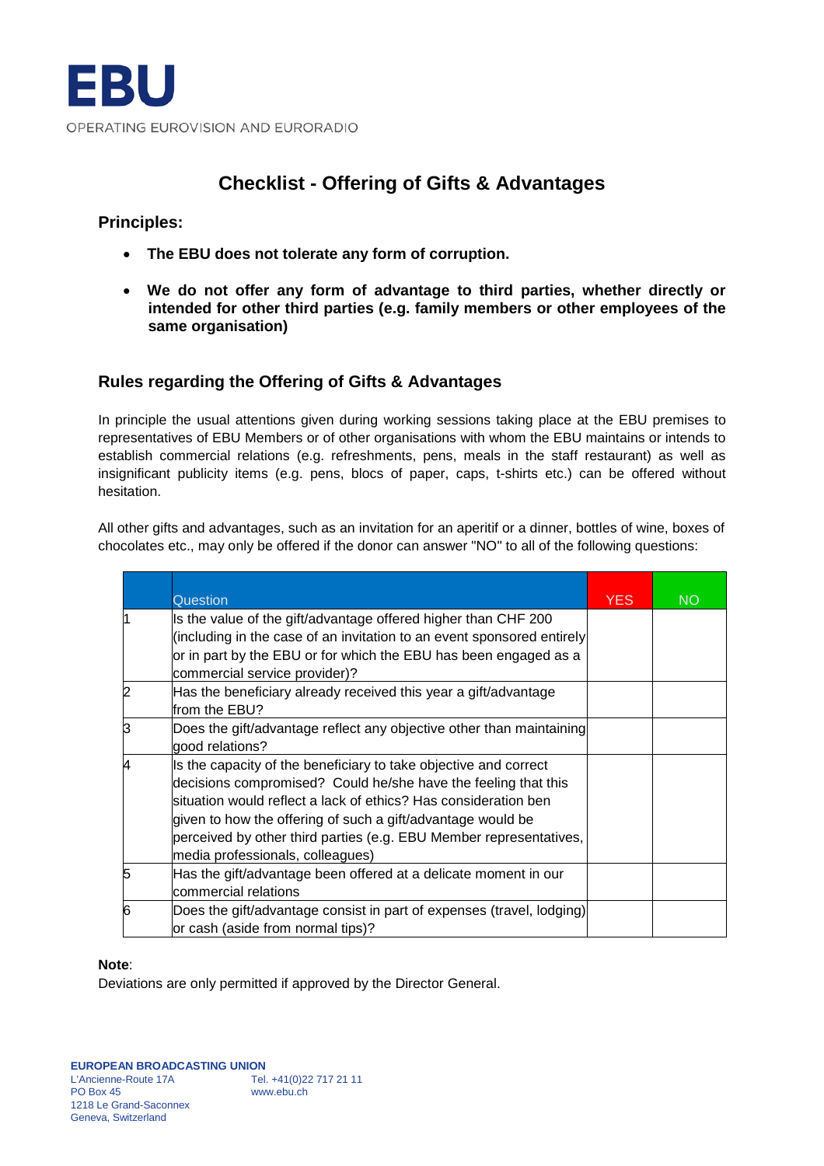## **Checklist - Offering of Gifts & Advantages**

### **Principles:**

- **The EBU does not tolerate any form of corruption.**
- **We do not offer any form of advantage to third parties, whether directly or intended for other third parties (e.g. family members or other employees of the same organisation)**

### **Rules regarding the Offering of Gifts & Advantages**

In principle the usual attentions given during working sessions taking place at the EBU premises to representatives of EBU Members or of other organisations with whom the EBU maintains or intends to establish commercial relations (e.g. refreshments, pens, meals in the staff restaurant) as well as insignificant publicity items (e.g. pens, blocs of paper, caps, t-shirts etc.) can be offered without hesitation.

All other gifts and advantages, such as an invitation for an aperitif or a dinner, bottles of wine, boxes of chocolates etc., may only be offered if the donor can answer "NO" to all of the following questions:

|   | Question                                                                                                                                                                                                                                                                                                                                                                       | <b>YES</b> | <b>NO</b> |
|---|--------------------------------------------------------------------------------------------------------------------------------------------------------------------------------------------------------------------------------------------------------------------------------------------------------------------------------------------------------------------------------|------------|-----------|
|   | Is the value of the gift/advantage offered higher than CHF 200<br>(including in the case of an invitation to an event sponsored entirely<br>or in part by the EBU or for which the EBU has been engaged as a<br>commercial service provider)?                                                                                                                                  |            |           |
|   | Has the beneficiary already received this year a gift/advantage<br>from the EBU?                                                                                                                                                                                                                                                                                               |            |           |
| 3 | Does the gift/advantage reflect any objective other than maintaining<br>good relations?                                                                                                                                                                                                                                                                                        |            |           |
|   | Is the capacity of the beneficiary to take objective and correct<br>decisions compromised? Could he/she have the feeling that this<br>situation would reflect a lack of ethics? Has consideration ben<br>given to how the offering of such a gift/advantage would be<br>perceived by other third parties (e.g. EBU Member representatives,<br>media professionals, colleagues) |            |           |
| 5 | Has the gift/advantage been offered at a delicate moment in our<br>commercial relations                                                                                                                                                                                                                                                                                        |            |           |
| 6 | Does the gift/advantage consist in part of expenses (travel, lodging)<br>or cash (aside from normal tips)?                                                                                                                                                                                                                                                                     |            |           |

#### **Note**:

Deviations are only permitted if approved by the Director General.